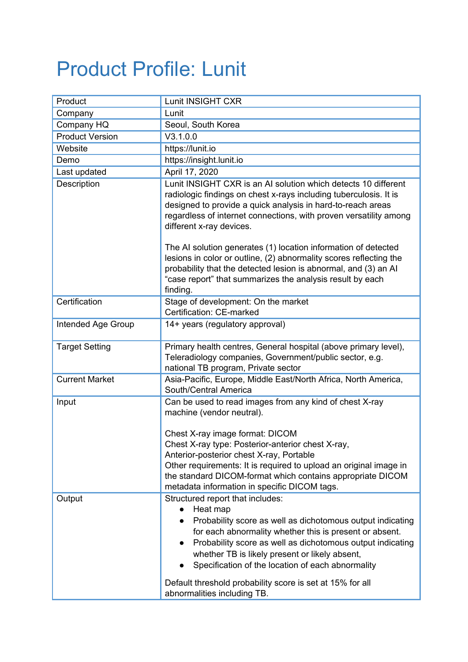## Product Profile: Lunit

| Product                | Lunit INSIGHT CXR                                                                                                                                                                                                                                                                                                                                                                                                                                                                                                                                                                       |
|------------------------|-----------------------------------------------------------------------------------------------------------------------------------------------------------------------------------------------------------------------------------------------------------------------------------------------------------------------------------------------------------------------------------------------------------------------------------------------------------------------------------------------------------------------------------------------------------------------------------------|
| Company                | Lunit                                                                                                                                                                                                                                                                                                                                                                                                                                                                                                                                                                                   |
| Company HQ             | Seoul, South Korea                                                                                                                                                                                                                                                                                                                                                                                                                                                                                                                                                                      |
| <b>Product Version</b> | V3.1.0.0                                                                                                                                                                                                                                                                                                                                                                                                                                                                                                                                                                                |
| Website                | https://lunit.io                                                                                                                                                                                                                                                                                                                                                                                                                                                                                                                                                                        |
| Demo                   | https://insight.lunit.io                                                                                                                                                                                                                                                                                                                                                                                                                                                                                                                                                                |
| Last updated           | April 17, 2020                                                                                                                                                                                                                                                                                                                                                                                                                                                                                                                                                                          |
| Description            | Lunit INSIGHT CXR is an AI solution which detects 10 different<br>radiologic findings on chest x-rays including tuberculosis. It is<br>designed to provide a quick analysis in hard-to-reach areas<br>regardless of internet connections, with proven versatility among<br>different x-ray devices.<br>The AI solution generates (1) location information of detected<br>lesions in color or outline, (2) abnormality scores reflecting the<br>probability that the detected lesion is abnormal, and (3) an Al<br>"case report" that summarizes the analysis result by each<br>finding. |
| Certification          | Stage of development: On the market<br>Certification: CE-marked                                                                                                                                                                                                                                                                                                                                                                                                                                                                                                                         |
| Intended Age Group     | 14+ years (regulatory approval)                                                                                                                                                                                                                                                                                                                                                                                                                                                                                                                                                         |
| <b>Target Setting</b>  | Primary health centres, General hospital (above primary level),<br>Teleradiology companies, Government/public sector, e.g.<br>national TB program, Private sector                                                                                                                                                                                                                                                                                                                                                                                                                       |
| <b>Current Market</b>  | Asia-Pacific, Europe, Middle East/North Africa, North America,<br>South/Central America                                                                                                                                                                                                                                                                                                                                                                                                                                                                                                 |
| Input                  | Can be used to read images from any kind of chest X-ray<br>machine (vendor neutral).<br>Chest X-ray image format: DICOM<br>Chest X-ray type: Posterior-anterior chest X-ray,<br>Anterior-posterior chest X-ray, Portable<br>Other requirements: It is required to upload an original image in<br>the standard DICOM-format which contains appropriate DICOM<br>metadata information in specific DICOM tags.                                                                                                                                                                             |
| Output                 | Structured report that includes:<br>Heat map<br>Probability score as well as dichotomous output indicating<br>for each abnormality whether this is present or absent.<br>Probability score as well as dichotomous output indicating<br>$\bullet$<br>whether TB is likely present or likely absent,<br>Specification of the location of each abnormality<br>Default threshold probability score is set at 15% for all<br>abnormalities including TB.                                                                                                                                     |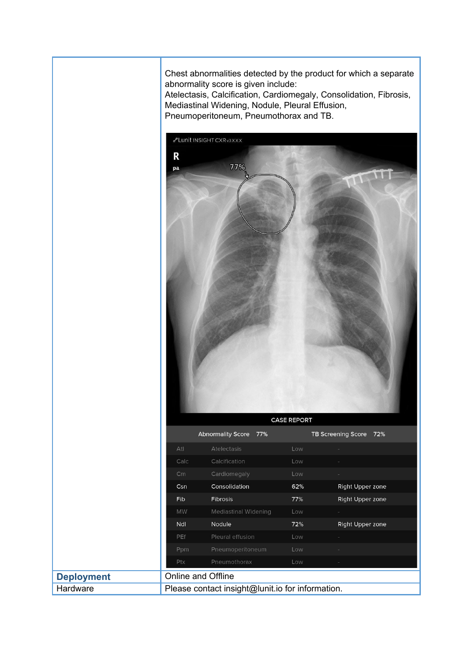Chest abnormalities detected by the product for which a separate abnormality score is given include:

Atelectasis, Calcification, Cardiomegaly, Consolidation, Fibrosis, Mediastinal Widening, Nodule, Pleural Effusion, Pneumoperitoneum, Pneumothorax and TB.

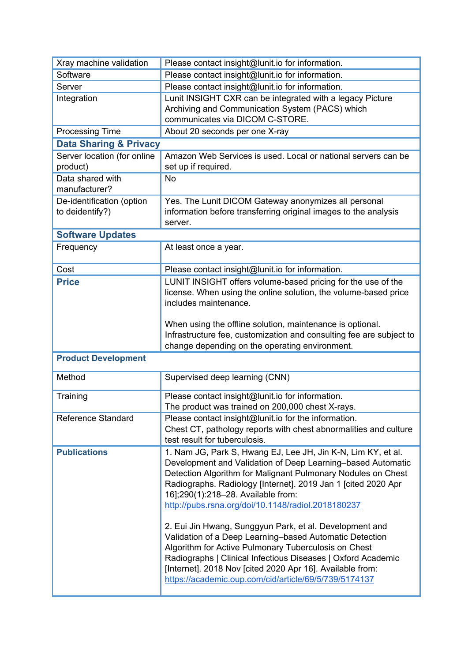| Xray machine validation                      | Please contact insight@lunit.io for information.                                                                                                                                                                                                                                                                                                                 |  |
|----------------------------------------------|------------------------------------------------------------------------------------------------------------------------------------------------------------------------------------------------------------------------------------------------------------------------------------------------------------------------------------------------------------------|--|
| Software                                     | Please contact insight@lunit.io for information.                                                                                                                                                                                                                                                                                                                 |  |
| Server                                       | Please contact insight@lunit.io for information.                                                                                                                                                                                                                                                                                                                 |  |
| Integration                                  | Lunit INSIGHT CXR can be integrated with a legacy Picture<br>Archiving and Communication System (PACS) which                                                                                                                                                                                                                                                     |  |
|                                              | communicates via DICOM C-STORE.                                                                                                                                                                                                                                                                                                                                  |  |
| <b>Processing Time</b>                       | About 20 seconds per one X-ray                                                                                                                                                                                                                                                                                                                                   |  |
| <b>Data Sharing &amp; Privacy</b>            |                                                                                                                                                                                                                                                                                                                                                                  |  |
| Server location (for online<br>product)      | Amazon Web Services is used. Local or national servers can be<br>set up if required.                                                                                                                                                                                                                                                                             |  |
| Data shared with<br>manufacturer?            | <b>No</b>                                                                                                                                                                                                                                                                                                                                                        |  |
| De-identification (option<br>to deidentify?) | Yes. The Lunit DICOM Gateway anonymizes all personal<br>information before transferring original images to the analysis<br>server.                                                                                                                                                                                                                               |  |
| <b>Software Updates</b>                      |                                                                                                                                                                                                                                                                                                                                                                  |  |
| Frequency                                    | At least once a year.                                                                                                                                                                                                                                                                                                                                            |  |
| Cost                                         | Please contact insight@lunit.io for information.                                                                                                                                                                                                                                                                                                                 |  |
| <b>Price</b>                                 | LUNIT INSIGHT offers volume-based pricing for the use of the                                                                                                                                                                                                                                                                                                     |  |
|                                              | license. When using the online solution, the volume-based price<br>includes maintenance.                                                                                                                                                                                                                                                                         |  |
|                                              | When using the offline solution, maintenance is optional.                                                                                                                                                                                                                                                                                                        |  |
|                                              | Infrastructure fee, customization and consulting fee are subject to                                                                                                                                                                                                                                                                                              |  |
|                                              | change depending on the operating environment.                                                                                                                                                                                                                                                                                                                   |  |
| <b>Product Development</b>                   |                                                                                                                                                                                                                                                                                                                                                                  |  |
| Method                                       | Supervised deep learning (CNN)                                                                                                                                                                                                                                                                                                                                   |  |
| Training                                     | Please contact insight@lunit.io for information.<br>The product was trained on 200,000 chest X-rays                                                                                                                                                                                                                                                              |  |
| Reference Standard                           | Please contact insight@lunit.io for the information.                                                                                                                                                                                                                                                                                                             |  |
|                                              | Chest CT, pathology reports with chest abnormalities and culture<br>test result for tuberculosis.                                                                                                                                                                                                                                                                |  |
| <b>Publications</b>                          | 1. Nam JG, Park S, Hwang EJ, Lee JH, Jin K-N, Lim KY, et al.<br>Development and Validation of Deep Learning-based Automatic<br>Detection Algorithm for Malignant Pulmonary Nodules on Chest<br>Radiographs. Radiology [Internet]. 2019 Jan 1 [cited 2020 Apr<br>16];290(1):218-28. Available from:<br>http://pubs.rsna.org/doi/10.1148/radiol.2018180237         |  |
|                                              | 2. Eui Jin Hwang, Sunggyun Park, et al. Development and<br>Validation of a Deep Learning-based Automatic Detection<br>Algorithm for Active Pulmonary Tuberculosis on Chest<br>Radiographs   Clinical Infectious Diseases   Oxford Academic<br>[Internet]. 2018 Nov [cited 2020 Apr 16]. Available from:<br>https://academic.oup.com/cid/article/69/5/739/5174137 |  |